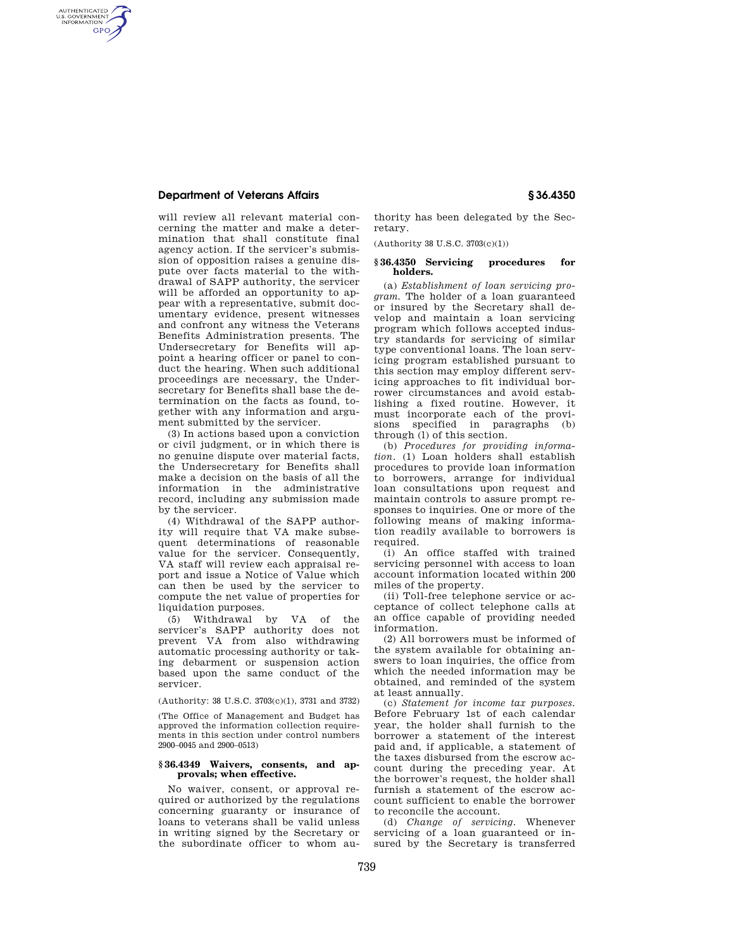## **Department of Veterans Affairs § 36.4350**

AUTHENTICATED<br>U.S. GOVERNMENT<br>INFORMATION **GPO** 

> will review all relevant material concerning the matter and make a determination that shall constitute final agency action. If the servicer's submission of opposition raises a genuine dispute over facts material to the withdrawal of SAPP authority, the servicer will be afforded an opportunity to appear with a representative, submit documentary evidence, present witnesses and confront any witness the Veterans Benefits Administration presents. The Undersecretary for Benefits will appoint a hearing officer or panel to conduct the hearing. When such additional proceedings are necessary, the Undersecretary for Benefits shall base the determination on the facts as found, together with any information and argument submitted by the servicer.

> (3) In actions based upon a conviction or civil judgment, or in which there is no genuine dispute over material facts, the Undersecretary for Benefits shall make a decision on the basis of all the information in the administrative record, including any submission made by the servicer.

> (4) Withdrawal of the SAPP authority will require that VA make subsequent determinations of reasonable value for the servicer. Consequently, VA staff will review each appraisal report and issue a Notice of Value which can then be used by the servicer to compute the net value of properties for liquidation purposes.

> (5) Withdrawal by VA of the servicer's SAPP authority does not prevent VA from also withdrawing automatic processing authority or taking debarment or suspension action based upon the same conduct of the servicer.

(Authority: 38 U.S.C. 3703(c)(1), 3731 and 3732)

(The Office of Management and Budget has approved the information collection requirements in this section under control numbers 2900–0045 and 2900–0513)

## **§ 36.4349 Waivers, consents, and approvals; when effective.**

No waiver, consent, or approval required or authorized by the regulations concerning guaranty or insurance of loans to veterans shall be valid unless in writing signed by the Secretary or the subordinate officer to whom authority has been delegated by the Secretary.

(Authority 38 U.S.C. 3703(c)(1))

## **§ 36.4350 Servicing procedures for holders.**

(a) *Establishment of loan servicing program.* The holder of a loan guaranteed or insured by the Secretary shall develop and maintain a loan servicing program which follows accepted industry standards for servicing of similar type conventional loans. The loan servicing program established pursuant to this section may employ different servicing approaches to fit individual borrower circumstances and avoid establishing a fixed routine. However, it must incorporate each of the provisions specified in paragraphs (b) through (l) of this section.

(b) *Procedures for providing information.* (1) Loan holders shall establish procedures to provide loan information to borrowers, arrange for individual loan consultations upon request and maintain controls to assure prompt responses to inquiries. One or more of the following means of making information readily available to borrowers is required.

(i) An office staffed with trained servicing personnel with access to loan account information located within 200 miles of the property.

(ii) Toll-free telephone service or acceptance of collect telephone calls at an office capable of providing needed information.

(2) All borrowers must be informed of the system available for obtaining answers to loan inquiries, the office from which the needed information may be obtained, and reminded of the system at least annually.

(c) *Statement for income tax purposes.*  Before February 1st of each calendar year, the holder shall furnish to the borrower a statement of the interest paid and, if applicable, a statement of the taxes disbursed from the escrow account during the preceding year. At the borrower's request, the holder shall furnish a statement of the escrow account sufficient to enable the borrower to reconcile the account.

(d) *Change of servicing.* Whenever servicing of a loan guaranteed or insured by the Secretary is transferred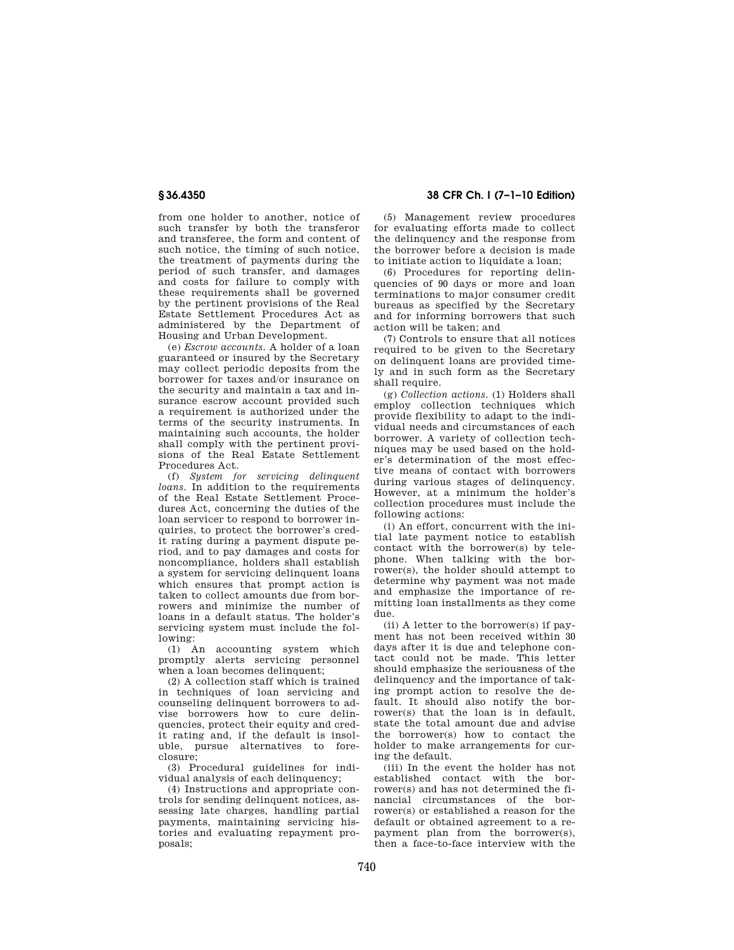from one holder to another, notice of such transfer by both the transferor and transferee, the form and content of such notice, the timing of such notice, the treatment of payments during the period of such transfer, and damages and costs for failure to comply with these requirements shall be governed by the pertinent provisions of the Real Estate Settlement Procedures Act as administered by the Department of Housing and Urban Development.

(e) *Escrow accounts.* A holder of a loan guaranteed or insured by the Secretary may collect periodic deposits from the borrower for taxes and/or insurance on the security and maintain a tax and insurance escrow account provided such a requirement is authorized under the terms of the security instruments. In maintaining such accounts, the holder shall comply with the pertinent provisions of the Real Estate Settlement Procedures Act.

(f) *System for servicing delinquent loans.* In addition to the requirements of the Real Estate Settlement Procedures Act, concerning the duties of the loan servicer to respond to borrower inquiries, to protect the borrower's credit rating during a payment dispute period, and to pay damages and costs for noncompliance, holders shall establish a system for servicing delinquent loans which ensures that prompt action is taken to collect amounts due from borrowers and minimize the number of loans in a default status. The holder's servicing system must include the following:

(1) An accounting system which promptly alerts servicing personnel when a loan becomes delinquent;

(2) A collection staff which is trained in techniques of loan servicing and counseling delinquent borrowers to advise borrowers how to cure delinquencies, protect their equity and credit rating and, if the default is insoluble, pursue alternatives to foreclosure;

(3) Procedural guidelines for individual analysis of each delinquency;

(4) Instructions and appropriate controls for sending delinquent notices, assessing late charges, handling partial payments, maintaining servicing histories and evaluating repayment proposals;

**§ 36.4350 38 CFR Ch. I (7–1–10 Edition)** 

(5) Management review procedures for evaluating efforts made to collect the delinquency and the response from the borrower before a decision is made to initiate action to liquidate a loan;

(6) Procedures for reporting delinquencies of 90 days or more and loan terminations to major consumer credit bureaus as specified by the Secretary and for informing borrowers that such action will be taken; and

(7) Controls to ensure that all notices required to be given to the Secretary on delinquent loans are provided timely and in such form as the Secretary shall require.

(g) *Collection actions.* (1) Holders shall employ collection techniques which provide flexibility to adapt to the individual needs and circumstances of each borrower. A variety of collection techniques may be used based on the holder's determination of the most effective means of contact with borrowers during various stages of delinquency. However, at a minimum the holder's collection procedures must include the following actions:

(i) An effort, concurrent with the initial late payment notice to establish contact with the borrower(s) by telephone. When talking with the borrower(s), the holder should attempt to determine why payment was not made and emphasize the importance of remitting loan installments as they come due.

(ii) A letter to the borrower(s) if payment has not been received within 30 days after it is due and telephone contact could not be made. This letter should emphasize the seriousness of the delinquency and the importance of taking prompt action to resolve the default. It should also notify the borrower(s) that the loan is in default, state the total amount due and advise the borrower(s) how to contact the holder to make arrangements for curing the default.

(iii) In the event the holder has not established contact with the borrower(s) and has not determined the financial circumstances of the borrower(s) or established a reason for the default or obtained agreement to a repayment plan from the borrower(s), then a face-to-face interview with the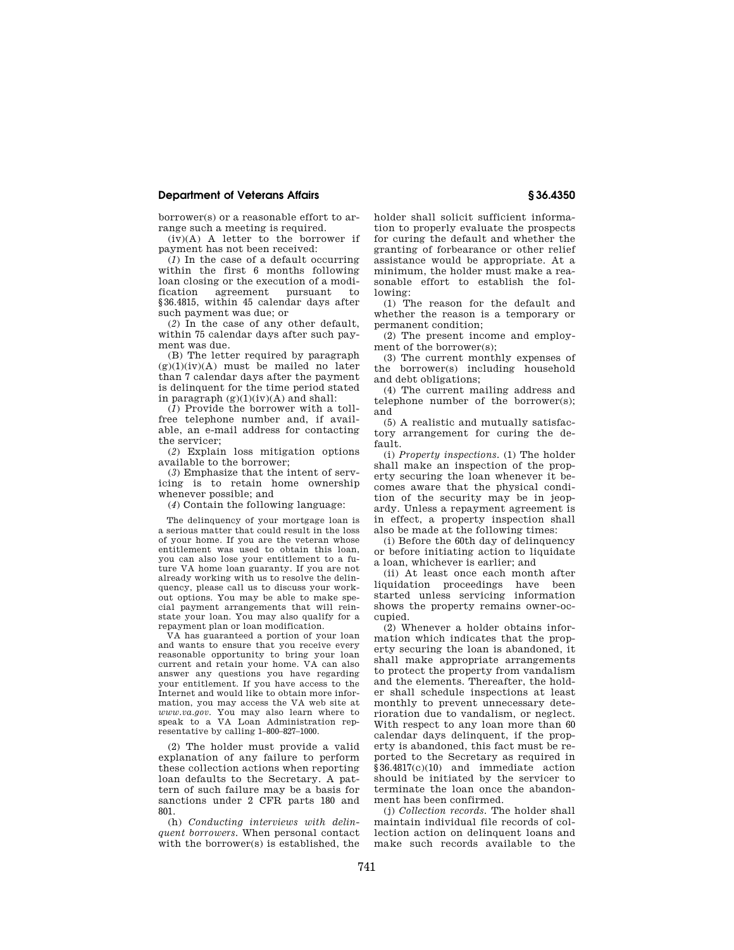# **Department of Veterans Affairs § 36.4350**

borrower(s) or a reasonable effort to arrange such a meeting is required.

 $(iv)(A)$  A letter to the borrower if payment has not been received:

(*1*) In the case of a default occurring within the first 6 months following loan closing or the execution of a modification agreement pursuant to §36.4815, within 45 calendar days after such payment was due; or

(*2*) In the case of any other default, within 75 calendar days after such payment was due.

(B) The letter required by paragraph  $(g)(1)(iv)(A)$  must be mailed no later than 7 calendar days after the payment is delinquent for the time period stated in paragraph  $(g)(1)(iv)(A)$  and shall:

(*1*) Provide the borrower with a tollfree telephone number and, if available, an e-mail address for contacting the servicer;

(*2*) Explain loss mitigation options available to the borrower;

(*3*) Emphasize that the intent of servicing is to retain home ownership whenever possible; and

(*4*) Contain the following language:

The delinquency of your mortgage loan is a serious matter that could result in the loss of your home. If you are the veteran whose entitlement was used to obtain this loan, you can also lose your entitlement to a future VA home loan guaranty. If you are not already working with us to resolve the delinquency, please call us to discuss your workout options. You may be able to make special payment arrangements that will reinstate your loan. You may also qualify for a repayment plan or loan modification.

VA has guaranteed a portion of your loan and wants to ensure that you receive every reasonable opportunity to bring your loan current and retain your home. VA can also answer any questions you have regarding your entitlement. If you have access to the Internet and would like to obtain more information, you may access the VA web site at *www.va.gov.* You may also learn where to speak to a VA Loan Administration representative by calling 1–800–827–1000.

(2) The holder must provide a valid explanation of any failure to perform these collection actions when reporting loan defaults to the Secretary. A pattern of such failure may be a basis for sanctions under 2 CFR parts 180 and 801.

(h) *Conducting interviews with delinquent borrowers.* When personal contact with the borrower(s) is established, the

holder shall solicit sufficient information to properly evaluate the prospects for curing the default and whether the granting of forbearance or other relief assistance would be appropriate. At a minimum, the holder must make a reasonable effort to establish the following:

(1) The reason for the default and whether the reason is a temporary or permanent condition;

(2) The present income and employment of the borrower(s);

(3) The current monthly expenses of the borrower(s) including household and debt obligations;

(4) The current mailing address and telephone number of the borrower(s); and

(5) A realistic and mutually satisfactory arrangement for curing the default.

(i) *Property inspections.* (1) The holder shall make an inspection of the property securing the loan whenever it becomes aware that the physical condition of the security may be in jeopardy. Unless a repayment agreement is in effect, a property inspection shall also be made at the following times:

(i) Before the 60th day of delinquency or before initiating action to liquidate a loan, whichever is earlier; and

(ii) At least once each month after liquidation proceedings have been started unless servicing information shows the property remains owner-occupied.

(2) Whenever a holder obtains information which indicates that the property securing the loan is abandoned, it shall make appropriate arrangements to protect the property from vandalism and the elements. Thereafter, the holder shall schedule inspections at least monthly to prevent unnecessary deterioration due to vandalism, or neglect. With respect to any loan more than 60 calendar days delinquent, if the property is abandoned, this fact must be reported to the Secretary as required in §36.4817(c)(10) and immediate action should be initiated by the servicer to terminate the loan once the abandonment has been confirmed.

(j) *Collection records.* The holder shall maintain individual file records of collection action on delinquent loans and make such records available to the